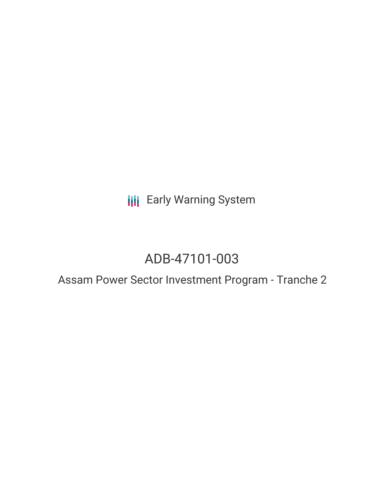**III** Early Warning System

# ADB-47101-003

## Assam Power Sector Investment Program - Tranche 2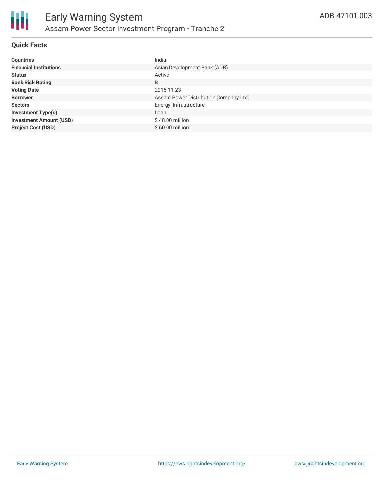

### **Quick Facts**

| <b>Countries</b>               | India                                 |
|--------------------------------|---------------------------------------|
| <b>Financial Institutions</b>  | Asian Development Bank (ADB)          |
| <b>Status</b>                  | Active                                |
| <b>Bank Risk Rating</b>        | B                                     |
| <b>Voting Date</b>             | 2015-11-23                            |
| <b>Borrower</b>                | Assam Power Distribution Company Ltd. |
| <b>Sectors</b>                 | Energy, Infrastructure                |
| <b>Investment Type(s)</b>      | Loan                                  |
| <b>Investment Amount (USD)</b> | $$48.00$ million                      |
| <b>Project Cost (USD)</b>      | \$60.00 million                       |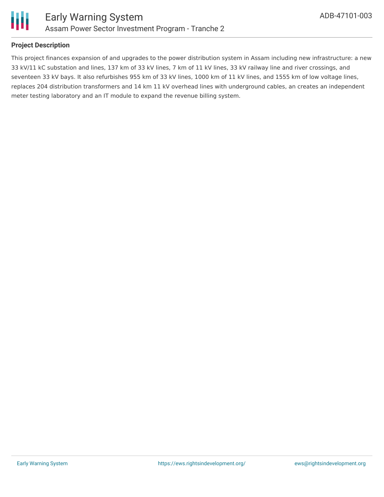

#### **Project Description**

This project finances expansion of and upgrades to the power distribution system in Assam including new infrastructure: a new 33 kV/11 kC substation and lines, 137 km of 33 kV lines, 7 km of 11 kV lines, 33 kV railway line and river crossings, and seventeen 33 kV bays. It also refurbishes 955 km of 33 kV lines, 1000 km of 11 kV lines, and 1555 km of low voltage lines, replaces 204 distribution transformers and 14 km 11 kV overhead lines with underground cables, an creates an independent meter testing laboratory and an IT module to expand the revenue billing system.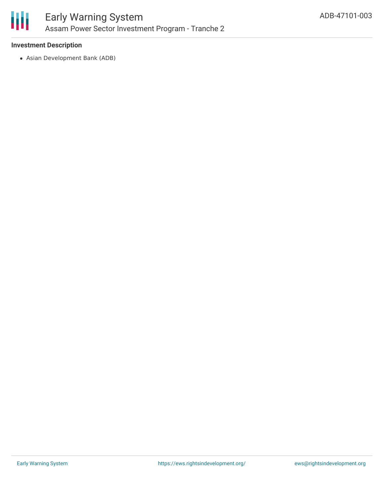

#### **Investment Description**

Asian Development Bank (ADB)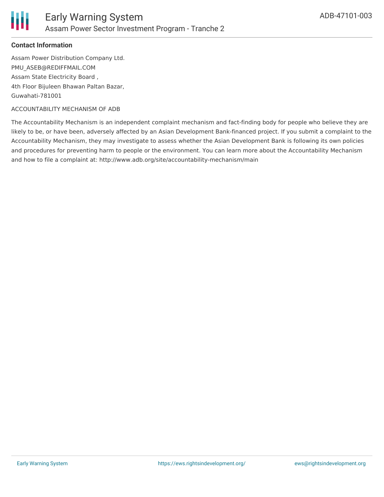

#### **Contact Information**

Assam Power Distribution Company Ltd. PMU\_ASEB@REDIFFMAIL.COM Assam State Electricity Board , 4th Floor Bijuleen Bhawan Paltan Bazar, Guwahati-781001

#### ACCOUNTABILITY MECHANISM OF ADB

The Accountability Mechanism is an independent complaint mechanism and fact-finding body for people who believe they are likely to be, or have been, adversely affected by an Asian Development Bank-financed project. If you submit a complaint to the Accountability Mechanism, they may investigate to assess whether the Asian Development Bank is following its own policies and procedures for preventing harm to people or the environment. You can learn more about the Accountability Mechanism and how to file a complaint at: http://www.adb.org/site/accountability-mechanism/main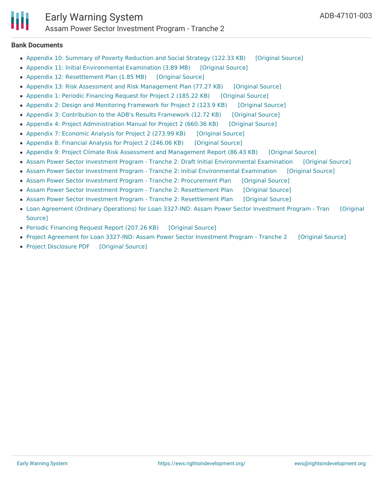

**Bank Documents**

- Appendix 10: Summary of Poverty [Reduction](https://ewsdata.rightsindevelopment.org/files/documents/03/ADB-47101-003_DDMUpMe.pdf) and Social Strategy (122.33 KB) [\[Original](https://www.adb.org/projects/documents/ind-assam-power-sector-investment-program-t2-pfr) Source]
- Appendix 11: Initial [Environmental](https://ewsdata.rightsindevelopment.org/files/documents/03/ADB-47101-003_fP213lH.pdf) Examination (3.89 MB) [\[Original](https://www.adb.org/projects/documents/ind-assam-power-sector-investment-program-t2-pfr) Source]
- Appendix 12: [Resettlement](https://ewsdata.rightsindevelopment.org/files/documents/03/ADB-47101-003_5ee13KI.pdf) Plan (1.85 MB) [\[Original](https://www.adb.org/projects/documents/ind-assam-power-sector-investment-program-t2-pfr) Source]
- Appendix 13: Risk Assessment and Risk [Management](https://ewsdata.rightsindevelopment.org/files/documents/03/ADB-47101-003_0RFcxPY.pdf) Plan (77.27 KB) [\[Original](https://www.adb.org/projects/documents/ind-assam-power-sector-investment-program-t2-pfr) Source]
- Appendix 1: Periodic [Financing](https://ewsdata.rightsindevelopment.org/files/documents/03/ADB-47101-003_6uJloRI.pdf) Request for Project 2 (185.22 KB) [\[Original](https://www.adb.org/projects/documents/ind-assam-power-sector-investment-program-t2-pfr) Source]
- Appendix 2: Design and Monitoring [Framework](https://ewsdata.rightsindevelopment.org/files/documents/03/ADB-47101-003_lSTy2Gz.pdf) for Project 2 (123.9 KB) [\[Original](https://www.adb.org/projects/documents/ind-assam-power-sector-investment-program-t2-pfr) Source]
- Appendix 3: [Contribution](https://ewsdata.rightsindevelopment.org/files/documents/03/ADB-47101-003_YMasZ61.pdf) to the ADB's Results Framework (12.72 KB) [\[Original](https://www.adb.org/projects/documents/ind-assam-power-sector-investment-program-t2-pfr) Source]
- Appendix 4: Project [Administration](https://ewsdata.rightsindevelopment.org/files/documents/03/ADB-47101-003_1CPxexq.pdf) Manual for Project 2 (660.36 KB) [\[Original](https://www.adb.org/projects/documents/ind-assam-power-sector-investment-program-t2-pfr) Source]
- Appendix 7: [Economic](https://ewsdata.rightsindevelopment.org/files/documents/03/ADB-47101-003_u8qyktA.pdf) Analysis for Project 2 (273.99 KB) [\[Original](https://www.adb.org/projects/documents/ind-assam-power-sector-investment-program-t2-pfr) Source]
- [Appendix](https://ewsdata.rightsindevelopment.org/files/documents/03/ADB-47101-003_7QdJQxj.pdf) 8: Financial Analysis for Project 2 (246.06 KB) [\[Original](https://www.adb.org/projects/documents/ind-assam-power-sector-investment-program-t2-pfr) Source]
- Appendix 9: Project Climate Risk Assessment and [Management](https://ewsdata.rightsindevelopment.org/files/documents/03/ADB-47101-003_KrmGYQs.pdf) Report (86.43 KB) [\[Original](https://www.adb.org/projects/documents/ind-assam-power-sector-investment-program-t2-pfr) Source]
- Assam Power Sector Investment Program Tranche 2: Draft Initial [Environmental](https://ewsdata.rightsindevelopment.org/files/documents/03/ADB-47101-003_mWroJeK.pdf) Examination [\[Original](https://www.adb.org/projects/documents/ind-assam-power-sector-investment-prog-t2-iee) Source]
- Assam Power Sector Investment Program Tranche 2: Initial [Environmental](https://ewsdata.rightsindevelopment.org/files/documents/03/ADB-47101-003_CJGhN6K.pdf) Examination [\[Original](https://www.adb.org/projects/documents/ind-assam-power-sector-investment-program-t2-nov-2015-iee) Source]
- Assam Power Sector Investment Program Tranche 2: [Procurement](https://ewsdata.rightsindevelopment.org/files/documents/03/ADB-47101-003_S6RSsNX.pdf) Plan [\[Original](https://www.adb.org/projects/documents/ind-assam-power-sector-investment-program-t2-pp) Source]
- Assam Power Sector Investment Program Tranche 2: [Resettlement](https://ewsdata.rightsindevelopment.org/files/documents/03/ADB-47101-003_KRvZlZg.pdf) Plan [\[Original](https://www.adb.org/projects/documents/ind-assam-power-sector-investment-program-t2-nov-2015-rp) Source]
- Assam Power Sector Investment Program Tranche 2: [Resettlement](https://ewsdata.rightsindevelopment.org/files/documents/03/ADB-47101-003_hFZWFAl.pdf) Plan [\[Original](https://www.adb.org/projects/documents/assam-power-sector-investment-program-tranche-2-rp) Source]
- Loan Agreement (Ordinary [Operations\)](https://ewsdata.rightsindevelopment.org/files/documents/03/ADB-47101-003_ko5VENO.pdf) for Loan 3327-IND: Assam Power Sector Investment Program Tran [Original Source]
- Periodic [Financing](https://ewsdata.rightsindevelopment.org/files/documents/03/ADB-47101-003_PZO7urk.pdf) Request Report (207.26 KB) [\[Original](https://www.adb.org/projects/documents/ind-assam-power-sector-investment-program-t2-pfr) Source]
- Project Agreement for Loan 3327-IND: Assam Power Sector [Investment](https://ewsdata.rightsindevelopment.org/files/documents/03/ADB-47101-003_D25IAYm.pdf) Program Tranche 2 [\[Original](https://www.adb.org/projects/documents/loan-3327-ind-assam-power-sector-investment-program-t2-mpr1) Source]
- Project [Disclosure](https://ewsdata.rightsindevelopment.org/files/documents/03/ADB-47101-003.pdf) PDF [\[Original](https://www.adb.org/printpdf/projects/47101-003/main) Source]